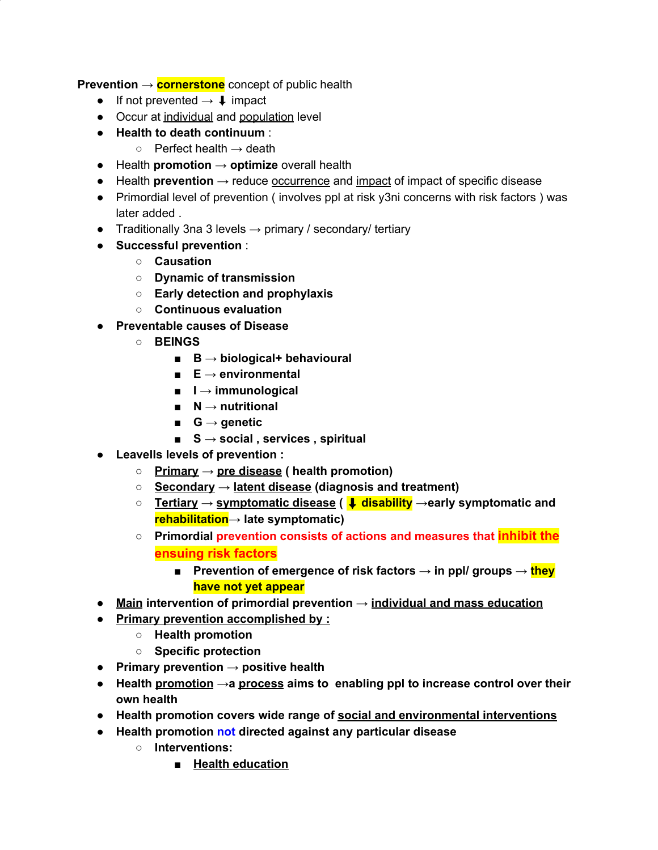**Prevention** → **cornerstone** concept of public health

- If not prevented  $\rightarrow \downarrow$  impact
- Occur at individual and population level
- **Health to death continuum** :
	- $\circ$  Perfect health  $\rightarrow$  death
- Health **promotion** → **optimize** overall health
- Health **prevention** → reduce occurrence and impact of impact of specific disease
- Primordial level of prevention (involves ppl at risk y3ni concerns with risk factors) was later added .
- Traditionally 3na 3 levels  $\rightarrow$  primary / secondary/ tertiary
- **Successful prevention** :
	- **○ Causation**
	- **Dynamic of transmission**
	- **Early detection and prophylaxis**
	- **○ Continuous evaluation**
- **● Preventable causes of Disease**
	- **○ BEINGS**
		- **■ B → biological+ behavioural**
		- **■ E → environmental**
		- **■ I → immunological**
		- **■ N → nutritional**
		- **■ G → genetic**
		- **■ S → social , services , spiritual**
- **● Leavells levels of prevention :**
	- **○ Primary → pre disease ( health promotion)**
	- **○ Secondary → latent disease (diagnosis and treatment)**
	- **○ Tertiary → symptomatic disease (** ⬇ **disability →early symptomatic and rehabilitation→ late symptomatic)**
	- **○ Primordial prevention consists of actions and measures that inhibit the ensuing risk factors**
		- **■ Prevention of emergence of risk factors → in ppl/ groups → they have not yet appear**
- **● Main intervention of primordial prevention → individual and mass education**
- **● Primary prevention accomplished by :**
	- **○ Health promotion**
	- **○ Specific protection**
- **● Primary prevention → positive health**
- **● Health promotion →a process aims to enabling ppl to increase control over their own health**
- **● Health promotion covers wide range of social and environmental interventions**
- **● Health promotion not directed against any particular disease**
	- **○ Interventions:**
		- **■ Health education**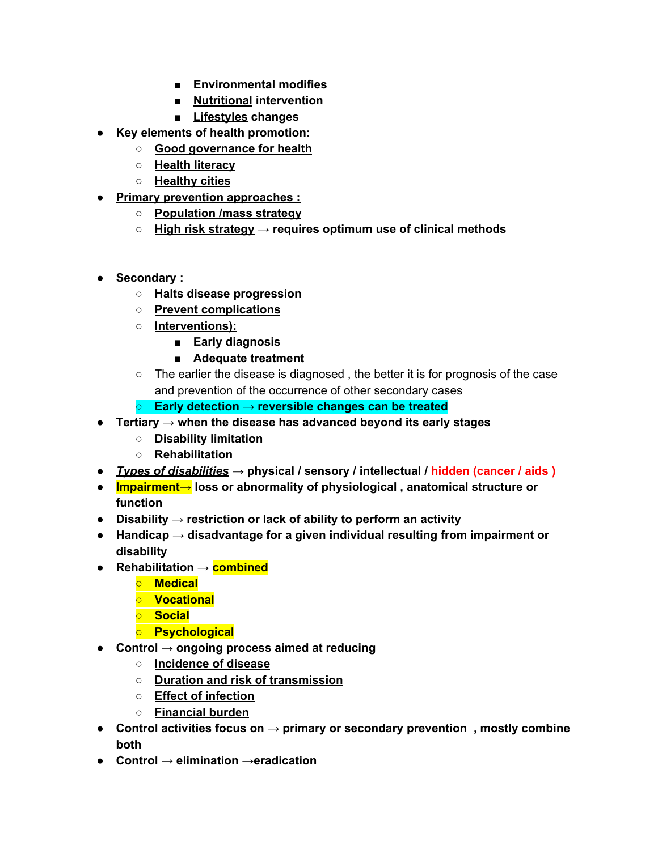- **■ Environmental modifies**
- **■ Nutritional intervention**
- **■ Lifestyles changes**
- **● Key elements of health promotion:**
	- **○ Good governance for health**
	- **○ Health literacy**
	- **○ Healthy cities**
- **● Primary prevention approaches :**
	- **○ Population /mass strategy**
	- **○ High risk strategy → requires optimum use of clinical methods**
- **● Secondary :**
	- **○ Halts disease progression**
	- **○ Prevent complications**
	- **○ Interventions):**
		- **■ Early diagnosis**
		- **■ Adequate treatment**
	- The earlier the disease is diagnosed , the better it is for prognosis of the case and prevention of the occurrence of other secondary cases
	- **○ Early detection → reversible changes can be treated**
- **● Tertiary → when the disease has advanced beyond its early stages**
	- **○ Disability limitation**
	- **○ Rehabilitation**
- **●** *Types of disabilities* **→ physical / sensory / intellectual / hidden (cancer / aids )**
- **● Impairment→ loss or abnormality of physiological , anatomical structure or function**
- **● Disability → restriction or lack of ability to perform an activity**
- **● Handicap → disadvantage for a given individual resulting from impairment or disability**
- **● Rehabilitation → combined**
	- **○ Medical**
	- **○ Vocational**
	- **○ Social**
	- **○ Psychological**
- **● Control → ongoing process aimed at reducing**
	- **○ Incidence of disease**
	- **○ Duration and risk of transmission**
	- **○ Effect of infection**
	- **○ Financial burden**
- **● Control activities focus on → primary or secondary prevention , mostly combine both**
- **● Control → elimination →eradication**